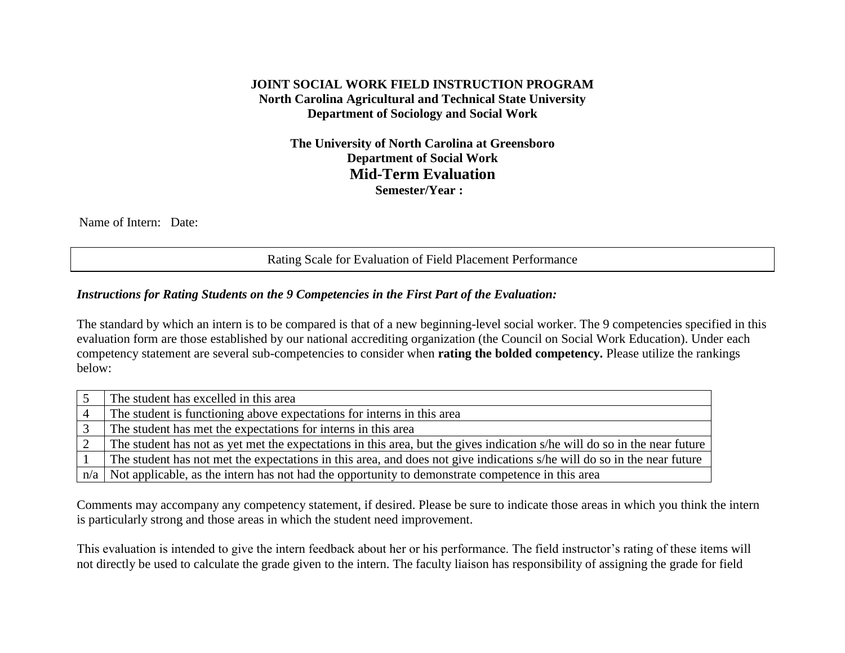# **JOINT SOCIAL WORK FIELD INSTRUCTION PROGRAM North Carolina Agricultural and Technical State University Department of Sociology and Social Work**

**The University of North Carolina at Greensboro Department of Social Work Mid-Term Evaluation Semester/Year :**

Name of Intern: Date:

Rating Scale for Evaluation of Field Placement Performance

#### *Instructions for Rating Students on the 9 Competencies in the First Part of the Evaluation:*

The standard by which an intern is to be compared is that of a new beginning-level social worker. The 9 competencies specified in this evaluation form are those established by our national accrediting organization (the Council on Social Work Education). Under each competency statement are several sub-competencies to consider when **rating the bolded competency.** Please utilize the rankings below:

| The student has excelled in this area                                                                                     |
|---------------------------------------------------------------------------------------------------------------------------|
| The student is functioning above expectations for interns in this area                                                    |
| The student has met the expectations for interns in this area                                                             |
| The student has not as yet met the expectations in this area, but the gives indication s/he will do so in the near future |
| The student has not met the expectations in this area, and does not give indications s/he will do so in the near future   |
| $n/a$ Not applicable, as the intern has not had the opportunity to demonstrate competence in this area                    |

Comments may accompany any competency statement, if desired. Please be sure to indicate those areas in which you think the intern is particularly strong and those areas in which the student need improvement.

This evaluation is intended to give the intern feedback about her or his performance. The field instructor's rating of these items will not directly be used to calculate the grade given to the intern. The faculty liaison has responsibility of assigning the grade for field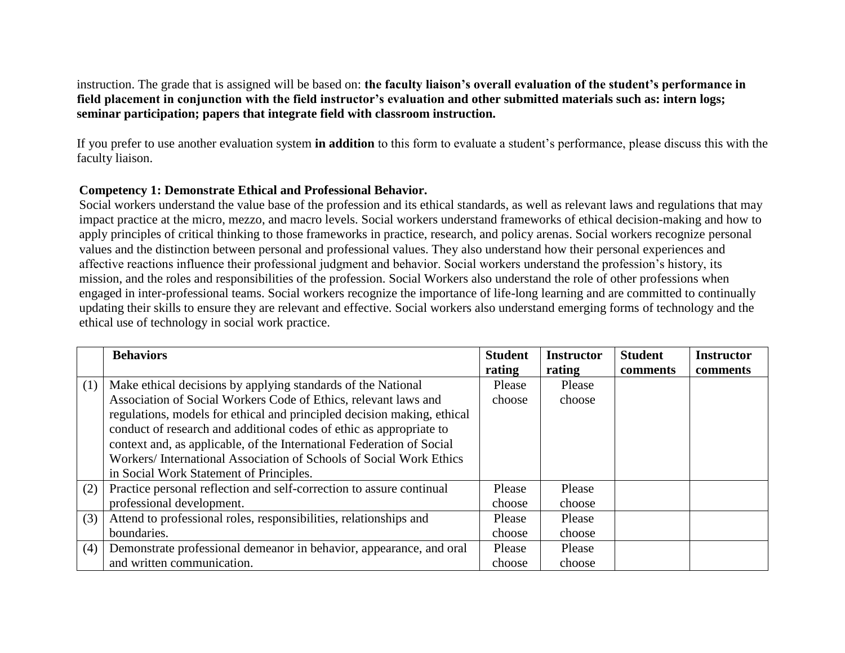instruction. The grade that is assigned will be based on: **the faculty liaison's overall evaluation of the student's performance in field placement in conjunction with the field instructor's evaluation and other submitted materials such as: intern logs; seminar participation; papers that integrate field with classroom instruction.**

If you prefer to use another evaluation system **in addition** to this form to evaluate a student's performance, please discuss this with the faculty liaison.

#### **Competency 1: Demonstrate Ethical and Professional Behavior.**

Social workers understand the value base of the profession and its ethical standards, as well as relevant laws and regulations that may impact practice at the micro, mezzo, and macro levels. Social workers understand frameworks of ethical decision-making and how to apply principles of critical thinking to those frameworks in practice, research, and policy arenas. Social workers recognize personal values and the distinction between personal and professional values. They also understand how their personal experiences and affective reactions influence their professional judgment and behavior. Social workers understand the profession's history, its mission, and the roles and responsibilities of the profession. Social Workers also understand the role of other professions when engaged in inter-professional teams. Social workers recognize the importance of life-long learning and are committed to continually updating their skills to ensure they are relevant and effective. Social workers also understand emerging forms of technology and the ethical use of technology in social work practice.

|     | <b>Behaviors</b>                                                        | <b>Student</b> | <b>Instructor</b> | <b>Student</b> | <b>Instructor</b> |
|-----|-------------------------------------------------------------------------|----------------|-------------------|----------------|-------------------|
|     |                                                                         | rating         | rating            | comments       | comments          |
| (1) | Make ethical decisions by applying standards of the National            | Please         | Please            |                |                   |
|     | Association of Social Workers Code of Ethics, relevant laws and         | choose         | choose            |                |                   |
|     | regulations, models for ethical and principled decision making, ethical |                |                   |                |                   |
|     | conduct of research and additional codes of ethic as appropriate to     |                |                   |                |                   |
|     | context and, as applicable, of the International Federation of Social   |                |                   |                |                   |
|     | Workers/International Association of Schools of Social Work Ethics      |                |                   |                |                   |
|     | in Social Work Statement of Principles.                                 |                |                   |                |                   |
| (2) | Practice personal reflection and self-correction to assure continual    | Please         | Please            |                |                   |
|     | professional development.                                               | choose         | choose            |                |                   |
| (3) | Attend to professional roles, responsibilities, relationships and       | Please         | Please            |                |                   |
|     | boundaries.                                                             | choose         | choose            |                |                   |
| (4) | Demonstrate professional demeanor in behavior, appearance, and oral     | Please         | Please            |                |                   |
|     | and written communication.                                              | choose         | choose            |                |                   |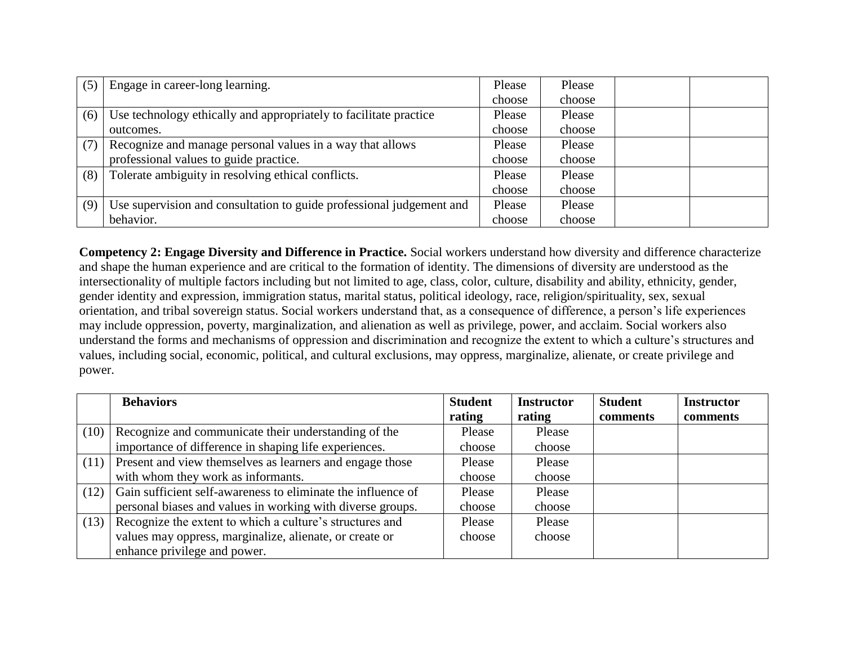| (5) | Engage in career-long learning.                                      | Please | Please |  |
|-----|----------------------------------------------------------------------|--------|--------|--|
|     |                                                                      | choose | choose |  |
| (6) | Use technology ethically and appropriately to facilitate practice    | Please | Please |  |
|     | outcomes.                                                            | choose | choose |  |
| (7) | Recognize and manage personal values in a way that allows            | Please | Please |  |
|     | professional values to guide practice.                               | choose | choose |  |
| (8) | Tolerate ambiguity in resolving ethical conflicts.                   | Please | Please |  |
|     |                                                                      | choose | choose |  |
| (9) | Use supervision and consultation to guide professional judgement and | Please | Please |  |
|     | behavior.                                                            | choose | choose |  |

**Competency 2: Engage Diversity and Difference in Practice.** Social workers understand how diversity and difference characterize and shape the human experience and are critical to the formation of identity. The dimensions of diversity are understood as the intersectionality of multiple factors including but not limited to age, class, color, culture, disability and ability, ethnicity, gender, gender identity and expression, immigration status, marital status, political ideology, race, religion/spirituality, sex, sexual orientation, and tribal sovereign status. Social workers understand that, as a consequence of difference, a person's life experiences may include oppression, poverty, marginalization, and alienation as well as privilege, power, and acclaim. Social workers also understand the forms and mechanisms of oppression and discrimination and recognize the extent to which a culture's structures and values, including social, economic, political, and cultural exclusions, may oppress, marginalize, alienate, or create privilege and power.

|      | <b>Behaviors</b>                                             | <b>Student</b> | <b>Instructor</b> | <b>Student</b> | <b>Instructor</b> |
|------|--------------------------------------------------------------|----------------|-------------------|----------------|-------------------|
|      |                                                              | rating         | rating            | comments       | comments          |
| (10) | Recognize and communicate their understanding of the         | Please         | Please            |                |                   |
|      | importance of difference in shaping life experiences.        | choose         | choose            |                |                   |
| (11) | Present and view themselves as learners and engage those     | Please         | Please            |                |                   |
|      | with whom they work as informants.                           | choose         | choose            |                |                   |
| (12) | Gain sufficient self-awareness to eliminate the influence of | Please         | Please            |                |                   |
|      | personal biases and values in working with diverse groups.   | choose         | choose            |                |                   |
| (13) | Recognize the extent to which a culture's structures and     | Please         | Please            |                |                   |
|      | values may oppress, marginalize, alienate, or create or      | choose         | choose            |                |                   |
|      | enhance privilege and power.                                 |                |                   |                |                   |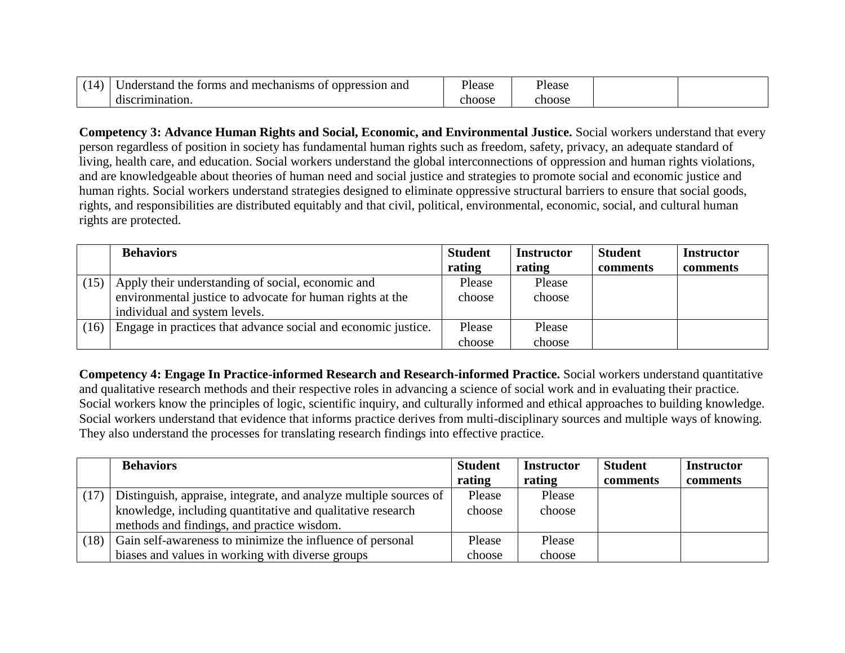| mechanisms<br>the<br>and<br>r and<br>Jnderstand<br>$\Omega$<br>oppression<br>torms | <sup>o</sup> lease | <sup>o</sup> lease |  |
|------------------------------------------------------------------------------------|--------------------|--------------------|--|
| crimination.<br>disc.                                                              | ehoose             | choose             |  |

**Competency 3: Advance Human Rights and Social, Economic, and Environmental Justice.** Social workers understand that every person regardless of position in society has fundamental human rights such as freedom, safety, privacy, an adequate standard of living, health care, and education. Social workers understand the global interconnections of oppression and human rights violations, and are knowledgeable about theories of human need and social justice and strategies to promote social and economic justice and human rights. Social workers understand strategies designed to eliminate oppressive structural barriers to ensure that social goods, rights, and responsibilities are distributed equitably and that civil, political, environmental, economic, social, and cultural human rights are protected.

|      | <b>Behaviors</b>                                              | <b>Student</b> | <b>Instructor</b> | <b>Student</b> | <b>Instructor</b> |
|------|---------------------------------------------------------------|----------------|-------------------|----------------|-------------------|
|      |                                                               | rating         | rating            | comments       | comments          |
| (15) | Apply their understanding of social, economic and             | Please         | Please            |                |                   |
|      | environmental justice to advocate for human rights at the     | choose         | choose            |                |                   |
|      | individual and system levels.                                 |                |                   |                |                   |
| (16) | Engage in practices that advance social and economic justice. | Please         | Please            |                |                   |
|      |                                                               | choose         | choose            |                |                   |

**Competency 4: Engage In Practice-informed Research and Research-informed Practice.** Social workers understand quantitative and qualitative research methods and their respective roles in advancing a science of social work and in evaluating their practice. Social workers know the principles of logic, scientific inquiry, and culturally informed and ethical approaches to building knowledge. Social workers understand that evidence that informs practice derives from multi-disciplinary sources and multiple ways of knowing. They also understand the processes for translating research findings into effective practice.

|      | <b>Behaviors</b>                                                  | <b>Student</b> | <b>Instructor</b> | <b>Student</b> | <b>Instructor</b> |
|------|-------------------------------------------------------------------|----------------|-------------------|----------------|-------------------|
|      |                                                                   | rating         | rating            | comments       | comments          |
| (17) | Distinguish, appraise, integrate, and analyze multiple sources of | Please         | Please            |                |                   |
|      | knowledge, including quantitative and qualitative research        | choose         | choose            |                |                   |
|      | methods and findings, and practice wisdom.                        |                |                   |                |                   |
| (18) | Gain self-awareness to minimize the influence of personal         | Please         | Please            |                |                   |
|      | biases and values in working with diverse groups                  | choose         | choose            |                |                   |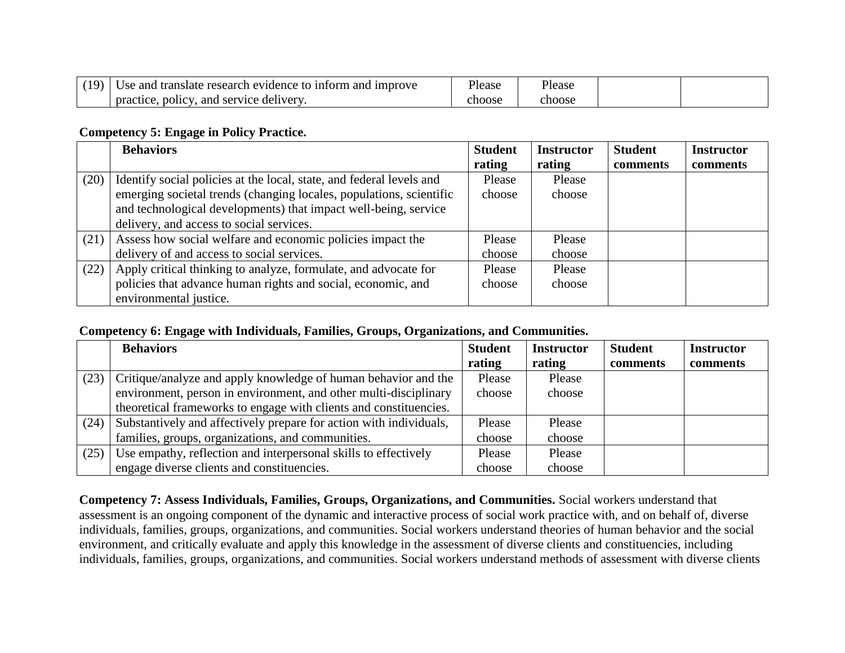| (19) | Use and translate research evidence to inform and improve | Please | Please |  |
|------|-----------------------------------------------------------|--------|--------|--|
|      | . policy.<br>and service delivery.<br>practice.           | choose | choose |  |

### **Competency 5: Engage in Policy Practice.**

|      | <b>Behaviors</b>                                                     | <b>Student</b> | <b>Instructor</b> | <b>Student</b> | <b>Instructor</b> |
|------|----------------------------------------------------------------------|----------------|-------------------|----------------|-------------------|
|      |                                                                      | rating         | rating            | comments       | comments          |
| (20) | Identify social policies at the local, state, and federal levels and | Please         | Please            |                |                   |
|      | emerging societal trends (changing locales, populations, scientific  | choose         | choose            |                |                   |
|      | and technological developments) that impact well-being, service      |                |                   |                |                   |
|      | delivery, and access to social services.                             |                |                   |                |                   |
| (21) | Assess how social welfare and economic policies impact the           | Please         | Please            |                |                   |
|      | delivery of and access to social services.                           | choose         | choose            |                |                   |
| (22) | Apply critical thinking to analyze, formulate, and advocate for      | Please         | Please            |                |                   |
|      | policies that advance human rights and social, economic, and         | choose         | choose            |                |                   |
|      | environmental justice.                                               |                |                   |                |                   |

#### **Competency 6: Engage with Individuals, Families, Groups, Organizations, and Communities.**

|      | <b>Behaviors</b>                                                   | <b>Student</b> | <b>Instructor</b> | <b>Student</b> | <b>Instructor</b> |
|------|--------------------------------------------------------------------|----------------|-------------------|----------------|-------------------|
|      |                                                                    | rating         | rating            | comments       | comments          |
| (23) | Critique/analyze and apply knowledge of human behavior and the     | Please         | Please            |                |                   |
|      | environment, person in environment, and other multi-disciplinary   | choose         | choose            |                |                   |
|      | theoretical frameworks to engage with clients and constituencies.  |                |                   |                |                   |
| (24) | Substantively and affectively prepare for action with individuals, | Please         | Please            |                |                   |
|      | families, groups, organizations, and communities.                  | choose         | choose            |                |                   |
| (25) | Use empathy, reflection and interpersonal skills to effectively    | Please         | Please            |                |                   |
|      | engage diverse clients and constituencies.                         | choose         | choose            |                |                   |

**Competency 7: Assess Individuals, Families, Groups, Organizations, and Communities.** Social workers understand that assessment is an ongoing component of the dynamic and interactive process of social work practice with, and on behalf of, diverse individuals, families, groups, organizations, and communities. Social workers understand theories of human behavior and the social environment, and critically evaluate and apply this knowledge in the assessment of diverse clients and constituencies, including individuals, families, groups, organizations, and communities. Social workers understand methods of assessment with diverse clients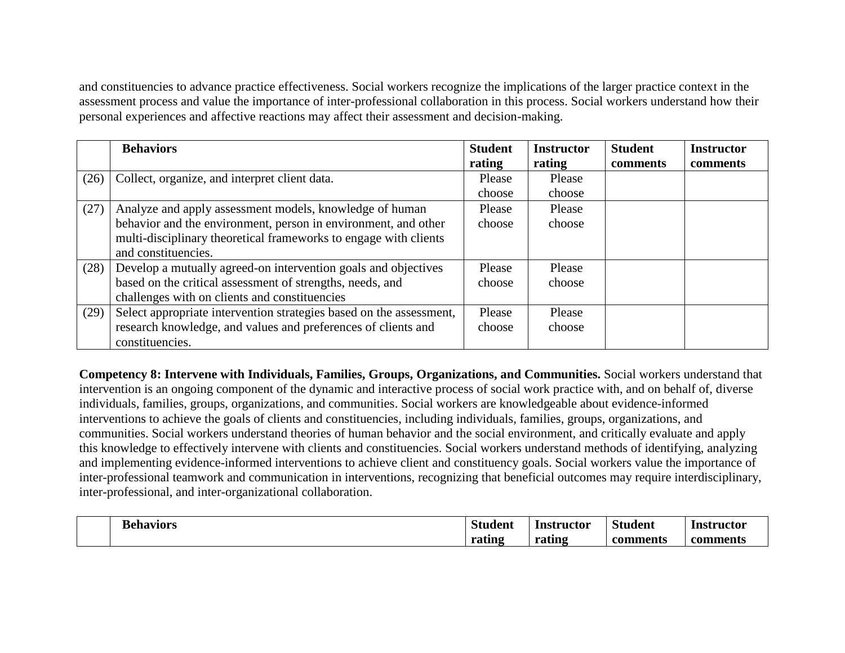and constituencies to advance practice effectiveness. Social workers recognize the implications of the larger practice context in the assessment process and value the importance of inter-professional collaboration in this process. Social workers understand how their personal experiences and affective reactions may affect their assessment and decision-making.

|      | <b>Behaviors</b>                                                    | <b>Student</b> | <b>Instructor</b> | <b>Student</b>  | <b>Instructor</b> |
|------|---------------------------------------------------------------------|----------------|-------------------|-----------------|-------------------|
|      |                                                                     | rating         | rating            | <b>comments</b> | comments          |
| (26) | Collect, organize, and interpret client data.                       | Please         | Please            |                 |                   |
|      |                                                                     | choose         | choose            |                 |                   |
| (27) | Analyze and apply assessment models, knowledge of human             | Please         | Please            |                 |                   |
|      | behavior and the environment, person in environment, and other      | choose         | choose            |                 |                   |
|      | multi-disciplinary theoretical frameworks to engage with clients    |                |                   |                 |                   |
|      | and constituencies.                                                 |                |                   |                 |                   |
| (28) | Develop a mutually agreed-on intervention goals and objectives      | Please         | Please            |                 |                   |
|      | based on the critical assessment of strengths, needs, and           | choose         | choose            |                 |                   |
|      | challenges with on clients and constituencies                       |                |                   |                 |                   |
| (29) | Select appropriate intervention strategies based on the assessment, | Please         | Please            |                 |                   |
|      | research knowledge, and values and preferences of clients and       | choose         | choose            |                 |                   |
|      | constituencies.                                                     |                |                   |                 |                   |

**Competency 8: Intervene with Individuals, Families, Groups, Organizations, and Communities.** Social workers understand that intervention is an ongoing component of the dynamic and interactive process of social work practice with, and on behalf of, diverse individuals, families, groups, organizations, and communities. Social workers are knowledgeable about evidence-informed interventions to achieve the goals of clients and constituencies, including individuals, families, groups, organizations, and communities. Social workers understand theories of human behavior and the social environment, and critically evaluate and apply this knowledge to effectively intervene with clients and constituencies. Social workers understand methods of identifying, analyzing and implementing evidence-informed interventions to achieve client and constituency goals. Social workers value the importance of inter-professional teamwork and communication in interventions, recognizing that beneficial outcomes may require interdisciplinary, inter-professional, and inter-organizational collaboration.

| <b>Behaviors</b> | <b>Student</b> | Instructor | Stı<br>ıden. | Instructor |
|------------------|----------------|------------|--------------|------------|
|                  | rating         | rating     | comments     | _comment.  |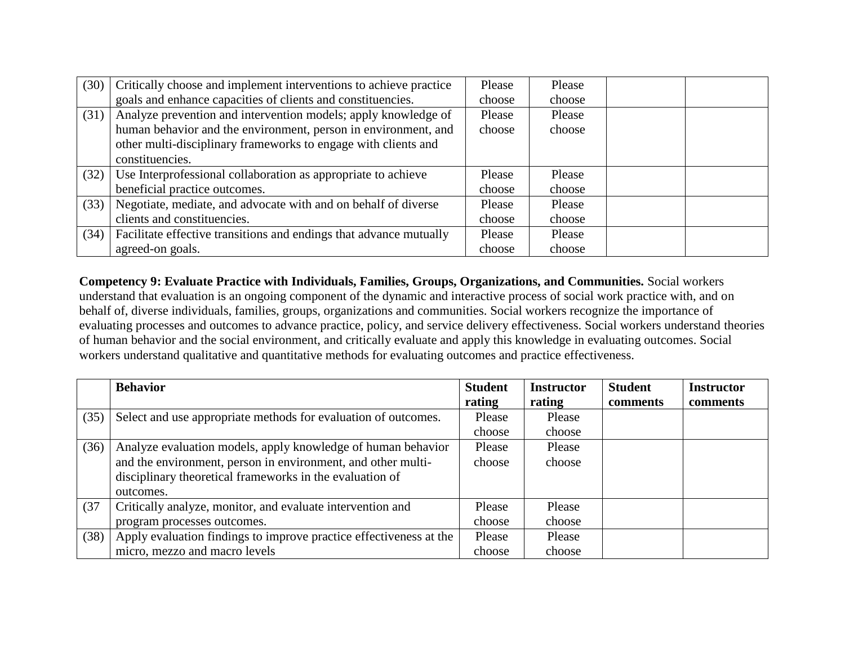| (30) | Critically choose and implement interventions to achieve practice  | Please | Please |  |
|------|--------------------------------------------------------------------|--------|--------|--|
|      | goals and enhance capacities of clients and constituencies.        | choose | choose |  |
| (31) | Analyze prevention and intervention models; apply knowledge of     | Please | Please |  |
|      | human behavior and the environment, person in environment, and     | choose | choose |  |
|      | other multi-disciplinary frameworks to engage with clients and     |        |        |  |
|      | constituencies.                                                    |        |        |  |
| (32) | Use Interprofessional collaboration as appropriate to achieve      | Please | Please |  |
|      | beneficial practice outcomes.                                      | choose | choose |  |
| (33) | Negotiate, mediate, and advocate with and on behalf of diverse     | Please | Please |  |
|      | clients and constituencies.                                        | choose | choose |  |
| (34) | Facilitate effective transitions and endings that advance mutually | Please | Please |  |
|      | agreed-on goals.                                                   | choose | choose |  |

**Competency 9: Evaluate Practice with Individuals, Families, Groups, Organizations, and Communities.** Social workers understand that evaluation is an ongoing component of the dynamic and interactive process of social work practice with, and on behalf of, diverse individuals, families, groups, organizations and communities. Social workers recognize the importance of evaluating processes and outcomes to advance practice, policy, and service delivery effectiveness. Social workers understand theories of human behavior and the social environment, and critically evaluate and apply this knowledge in evaluating outcomes. Social workers understand qualitative and quantitative methods for evaluating outcomes and practice effectiveness.

|      | <b>Behavior</b>                                                    | <b>Student</b> | <b>Instructor</b> | <b>Student</b> | <b>Instructor</b> |
|------|--------------------------------------------------------------------|----------------|-------------------|----------------|-------------------|
|      |                                                                    | rating         | rating            | comments       | comments          |
| (35) | Select and use appropriate methods for evaluation of outcomes.     | Please         | Please            |                |                   |
|      |                                                                    | choose         | choose            |                |                   |
| (36) | Analyze evaluation models, apply knowledge of human behavior       | Please         | Please            |                |                   |
|      | and the environment, person in environment, and other multi-       | choose         | choose            |                |                   |
|      | disciplinary theoretical frameworks in the evaluation of           |                |                   |                |                   |
|      | outcomes.                                                          |                |                   |                |                   |
| (37) | Critically analyze, monitor, and evaluate intervention and         | Please         | Please            |                |                   |
|      | program processes outcomes.                                        | choose         | choose            |                |                   |
| (38) | Apply evaluation findings to improve practice effectiveness at the | Please         | Please            |                |                   |
|      | micro, mezzo and macro levels                                      | choose         | choose            |                |                   |